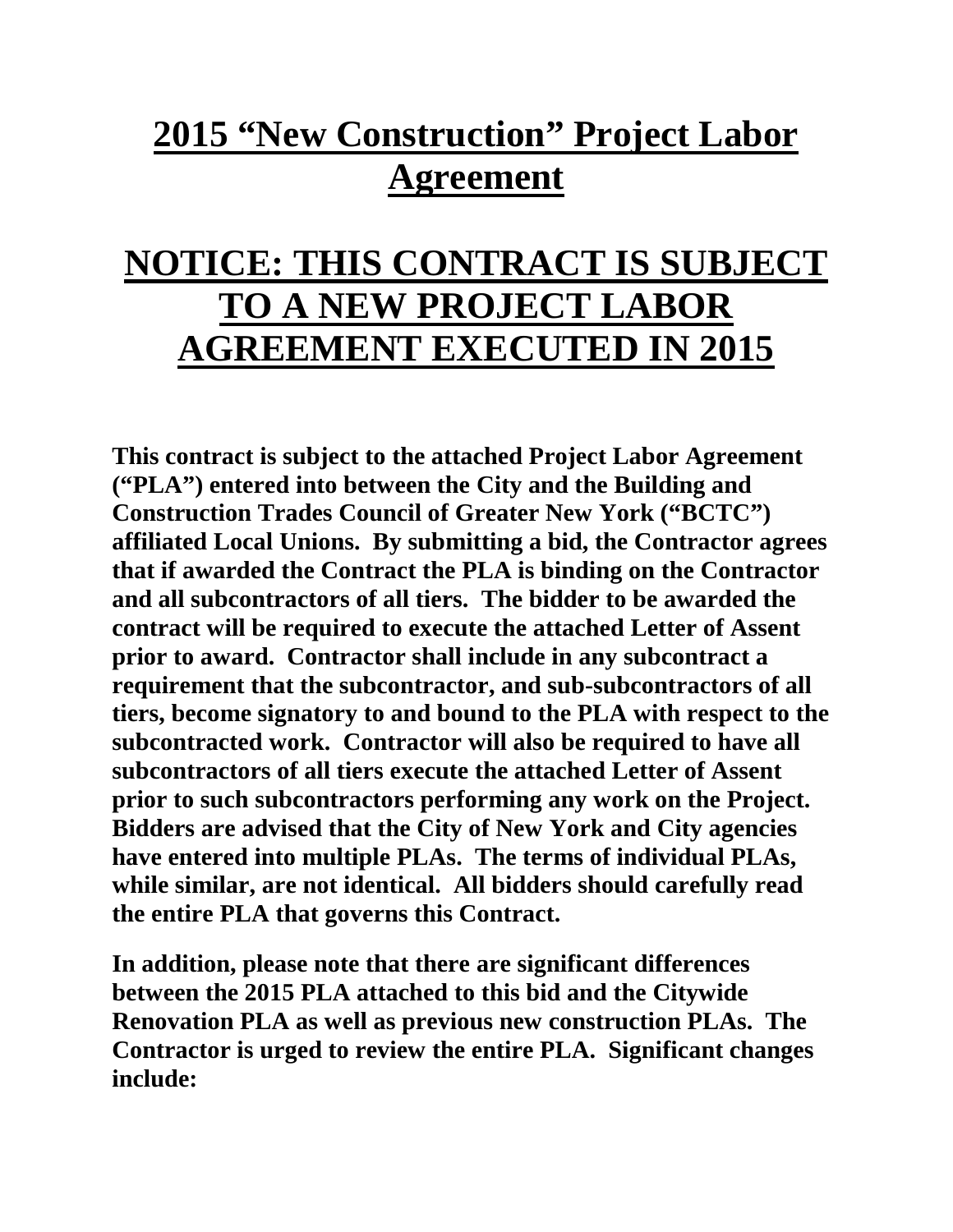## **2015 "New Construction" Project Labor Agreement**

## **NOTICE: THIS CONTRACT IS SUBJECT TO A NEW PROJECT LABOR AGREEMENT EXECUTED IN 2015**

**This contract is subject to the attached Project Labor Agreement ("PLA") entered into between the City and the Building and Construction Trades Council of Greater New York ("BCTC") affiliated Local Unions. By submitting a bid, the Contractor agrees that if awarded the Contract the PLA is binding on the Contractor and all subcontractors of all tiers. The bidder to be awarded the contract will be required to execute the attached Letter of Assent prior to award. Contractor shall include in any subcontract a requirement that the subcontractor, and sub-subcontractors of all tiers, become signatory to and bound to the PLA with respect to the subcontracted work. Contractor will also be required to have all subcontractors of all tiers execute the attached Letter of Assent prior to such subcontractors performing any work on the Project. Bidders are advised that the City of New York and City agencies have entered into multiple PLAs. The terms of individual PLAs, while similar, are not identical. All bidders should carefully read the entire PLA that governs this Contract.** 

**In addition, please note that there are significant differences between the 2015 PLA attached to this bid and the Citywide Renovation PLA as well as previous new construction PLAs. The Contractor is urged to review the entire PLA. Significant changes include:**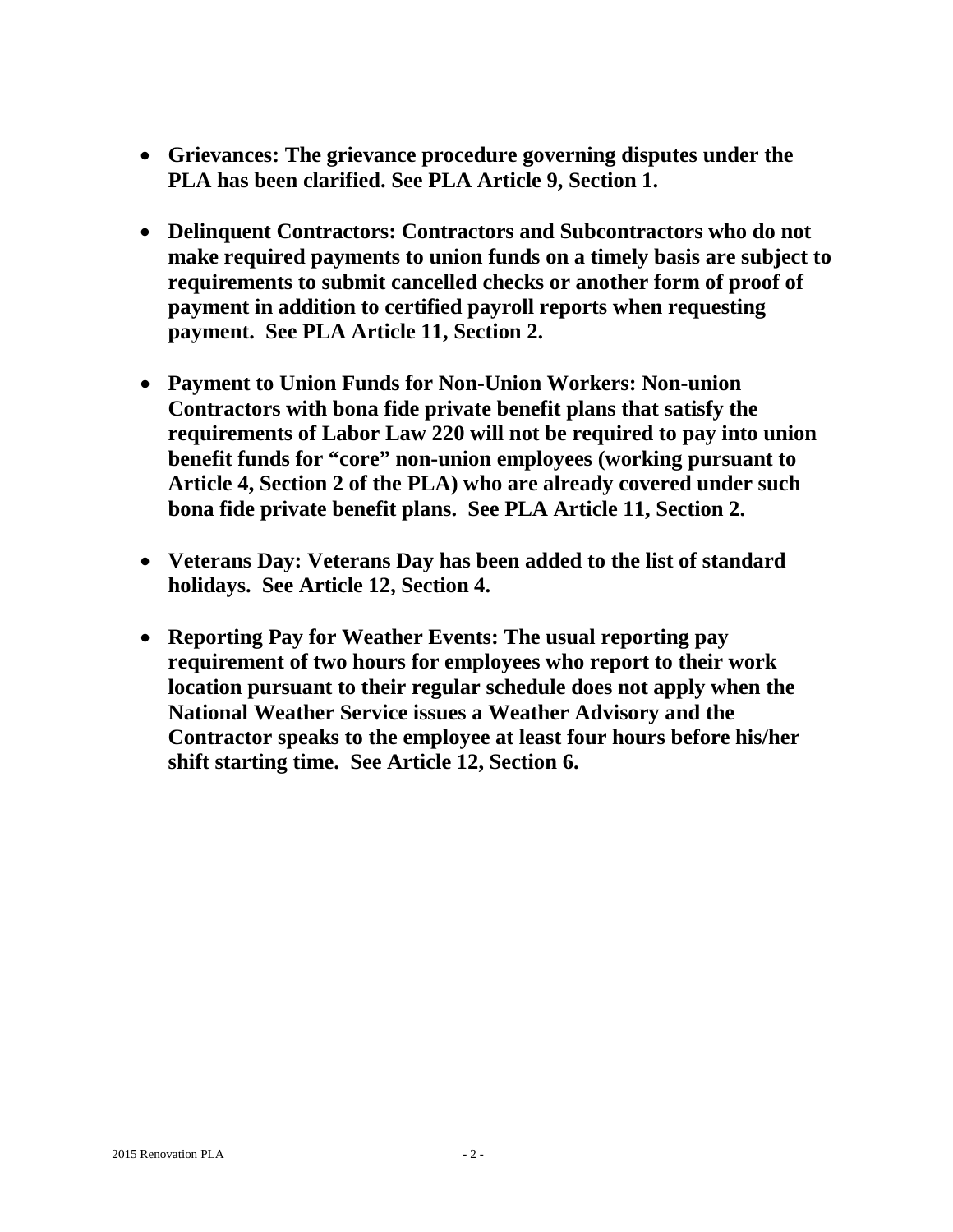- **Grievances: The grievance procedure governing disputes under the PLA has been clarified. See PLA Article 9, Section 1.**
- **Delinquent Contractors: Contractors and Subcontractors who do not make required payments to union funds on a timely basis are subject to requirements to submit cancelled checks or another form of proof of payment in addition to certified payroll reports when requesting payment. See PLA Article 11, Section 2.**
- **Payment to Union Funds for Non-Union Workers: Non-union Contractors with bona fide private benefit plans that satisfy the requirements of Labor Law 220 will not be required to pay into union benefit funds for "core" non-union employees (working pursuant to Article 4, Section 2 of the PLA) who are already covered under such bona fide private benefit plans. See PLA Article 11, Section 2.**
- **Veterans Day: Veterans Day has been added to the list of standard holidays. See Article 12, Section 4.**
- **Reporting Pay for Weather Events: The usual reporting pay requirement of two hours for employees who report to their work location pursuant to their regular schedule does not apply when the National Weather Service issues a Weather Advisory and the Contractor speaks to the employee at least four hours before his/her shift starting time. See Article 12, Section 6.**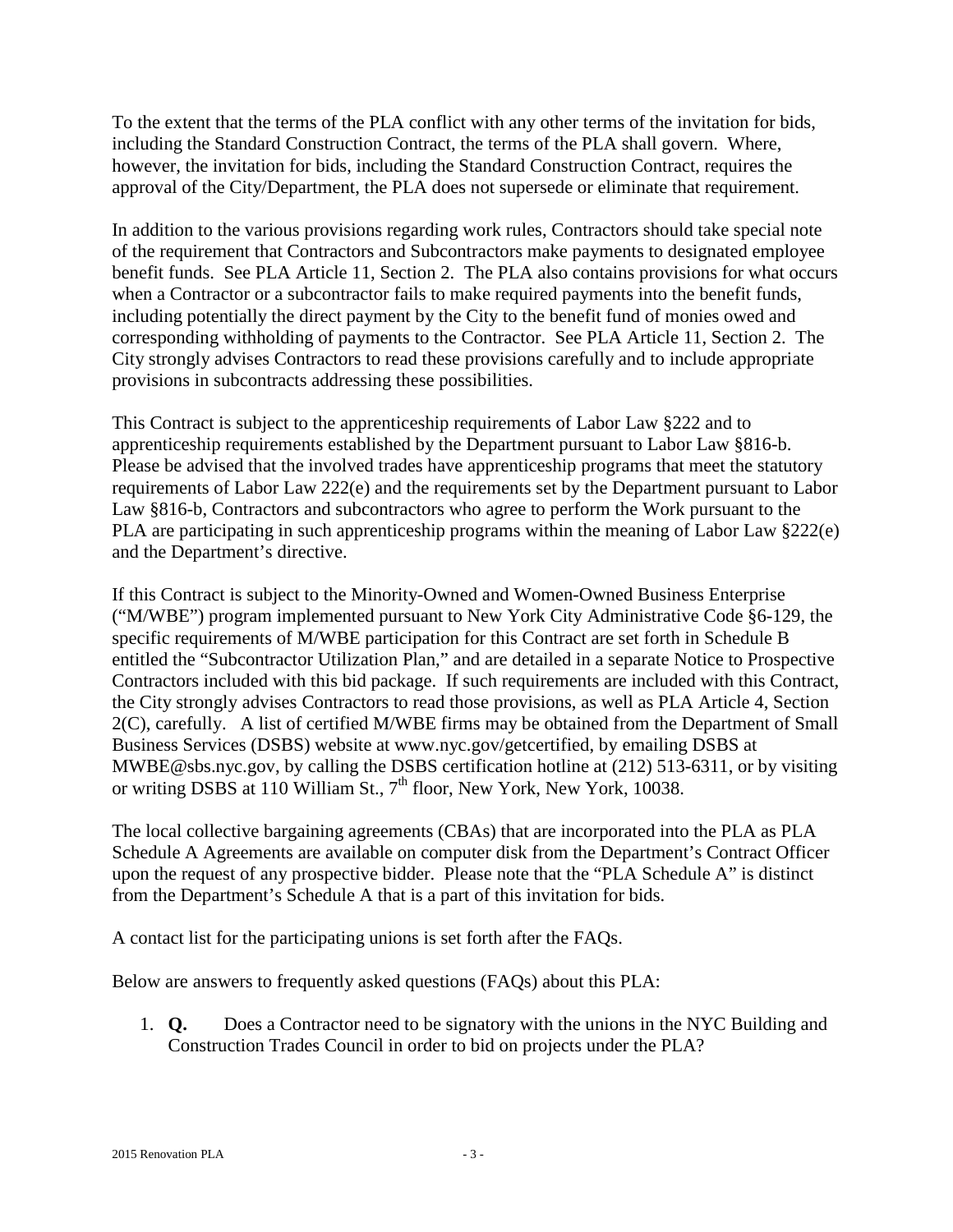To the extent that the terms of the PLA conflict with any other terms of the invitation for bids, including the Standard Construction Contract, the terms of the PLA shall govern. Where, however, the invitation for bids, including the Standard Construction Contract, requires the approval of the City/Department, the PLA does not supersede or eliminate that requirement.

In addition to the various provisions regarding work rules, Contractors should take special note of the requirement that Contractors and Subcontractors make payments to designated employee benefit funds. See PLA Article 11, Section 2. The PLA also contains provisions for what occurs when a Contractor or a subcontractor fails to make required payments into the benefit funds, including potentially the direct payment by the City to the benefit fund of monies owed and corresponding withholding of payments to the Contractor. See PLA Article 11, Section 2. The City strongly advises Contractors to read these provisions carefully and to include appropriate provisions in subcontracts addressing these possibilities.

This Contract is subject to the apprenticeship requirements of Labor Law §222 and to apprenticeship requirements established by the Department pursuant to Labor Law §816-b. Please be advised that the involved trades have apprenticeship programs that meet the statutory requirements of Labor Law 222(e) and the requirements set by the Department pursuant to Labor Law §816-b, Contractors and subcontractors who agree to perform the Work pursuant to the PLA are participating in such apprenticeship programs within the meaning of Labor Law §222(e) and the Department's directive.

If this Contract is subject to the Minority-Owned and Women-Owned Business Enterprise ("M/WBE") program implemented pursuant to New York City Administrative Code §6-129, the specific requirements of M/WBE participation for this Contract are set forth in Schedule B entitled the "Subcontractor Utilization Plan," and are detailed in a separate Notice to Prospective Contractors included with this bid package. If such requirements are included with this Contract, the City strongly advises Contractors to read those provisions, as well as PLA Article 4, Section 2(C), carefully. A list of certified M/WBE firms may be obtained from the Department of Small Business Services (DSBS) website at www.nyc.gov/getcertified, by emailing DSBS at MWBE@sbs.nyc.gov, by calling the DSBS certification hotline at (212) 513-6311, or by visiting or writing DSBS at 110 William St., 7<sup>th</sup> floor, New York, New York, 10038.

The local collective bargaining agreements (CBAs) that are incorporated into the PLA as PLA Schedule A Agreements are available on computer disk from the Department's Contract Officer upon the request of any prospective bidder. Please note that the "PLA Schedule A" is distinct from the Department's Schedule A that is a part of this invitation for bids.

A contact list for the participating unions is set forth after the FAQs.

Below are answers to frequently asked questions (FAQs) about this PLA:

1. **Q.** Does a Contractor need to be signatory with the unions in the NYC Building and Construction Trades Council in order to bid on projects under the PLA?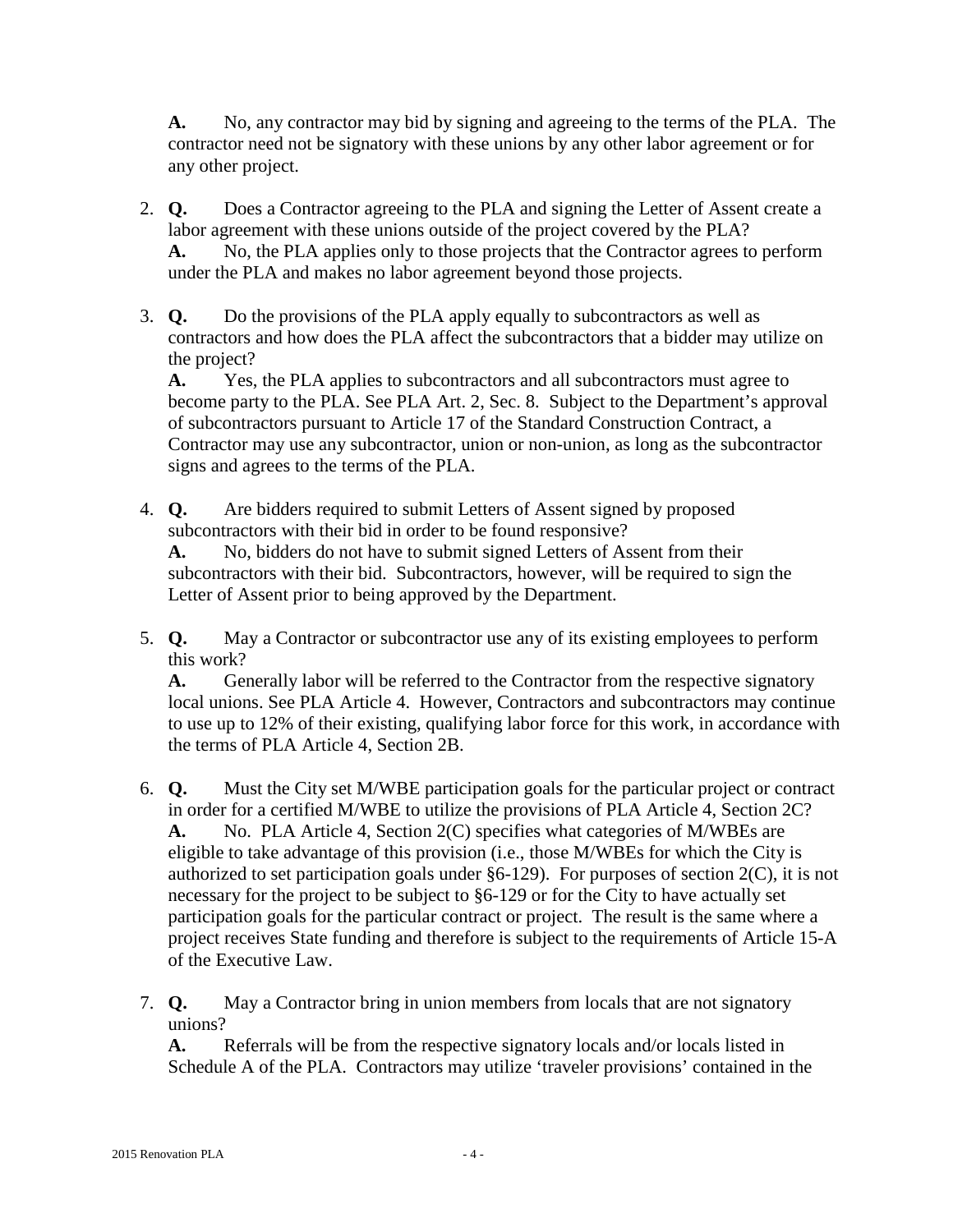**A.** No, any contractor may bid by signing and agreeing to the terms of the PLA. The contractor need not be signatory with these unions by any other labor agreement or for any other project.

- 2. **Q.** Does a Contractor agreeing to the PLA and signing the Letter of Assent create a labor agreement with these unions outside of the project covered by the PLA? **A.** No, the PLA applies only to those projects that the Contractor agrees to perform under the PLA and makes no labor agreement beyond those projects.
- 3. **Q.** Do the provisions of the PLA apply equally to subcontractors as well as contractors and how does the PLA affect the subcontractors that a bidder may utilize on the project?

**A.** Yes, the PLA applies to subcontractors and all subcontractors must agree to become party to the PLA. See PLA Art. 2, Sec. 8. Subject to the Department's approval of subcontractors pursuant to Article 17 of the Standard Construction Contract, a Contractor may use any subcontractor, union or non-union, as long as the subcontractor signs and agrees to the terms of the PLA.

4. **Q.** Are bidders required to submit Letters of Assent signed by proposed subcontractors with their bid in order to be found responsive?

**A.** No, bidders do not have to submit signed Letters of Assent from their subcontractors with their bid. Subcontractors, however, will be required to sign the Letter of Assent prior to being approved by the Department.

5. **Q.** May a Contractor or subcontractor use any of its existing employees to perform this work?

**A.** Generally labor will be referred to the Contractor from the respective signatory local unions. See PLA Article 4. However, Contractors and subcontractors may continue to use up to 12% of their existing, qualifying labor force for this work, in accordance with the terms of PLA Article 4, Section 2B.

- 6. **Q.** Must the City set M/WBE participation goals for the particular project or contract in order for a certified M/WBE to utilize the provisions of PLA Article 4, Section 2C? **A.** No. PLA Article 4, Section 2(C) specifies what categories of M/WBEs are eligible to take advantage of this provision (i.e., those M/WBEs for which the City is authorized to set participation goals under §6-129). For purposes of section 2(C), it is not necessary for the project to be subject to §6-129 or for the City to have actually set participation goals for the particular contract or project. The result is the same where a project receives State funding and therefore is subject to the requirements of Article 15-A of the Executive Law.
- 7. **Q.** May a Contractor bring in union members from locals that are not signatory unions?

**A.** Referrals will be from the respective signatory locals and/or locals listed in Schedule A of the PLA. Contractors may utilize 'traveler provisions' contained in the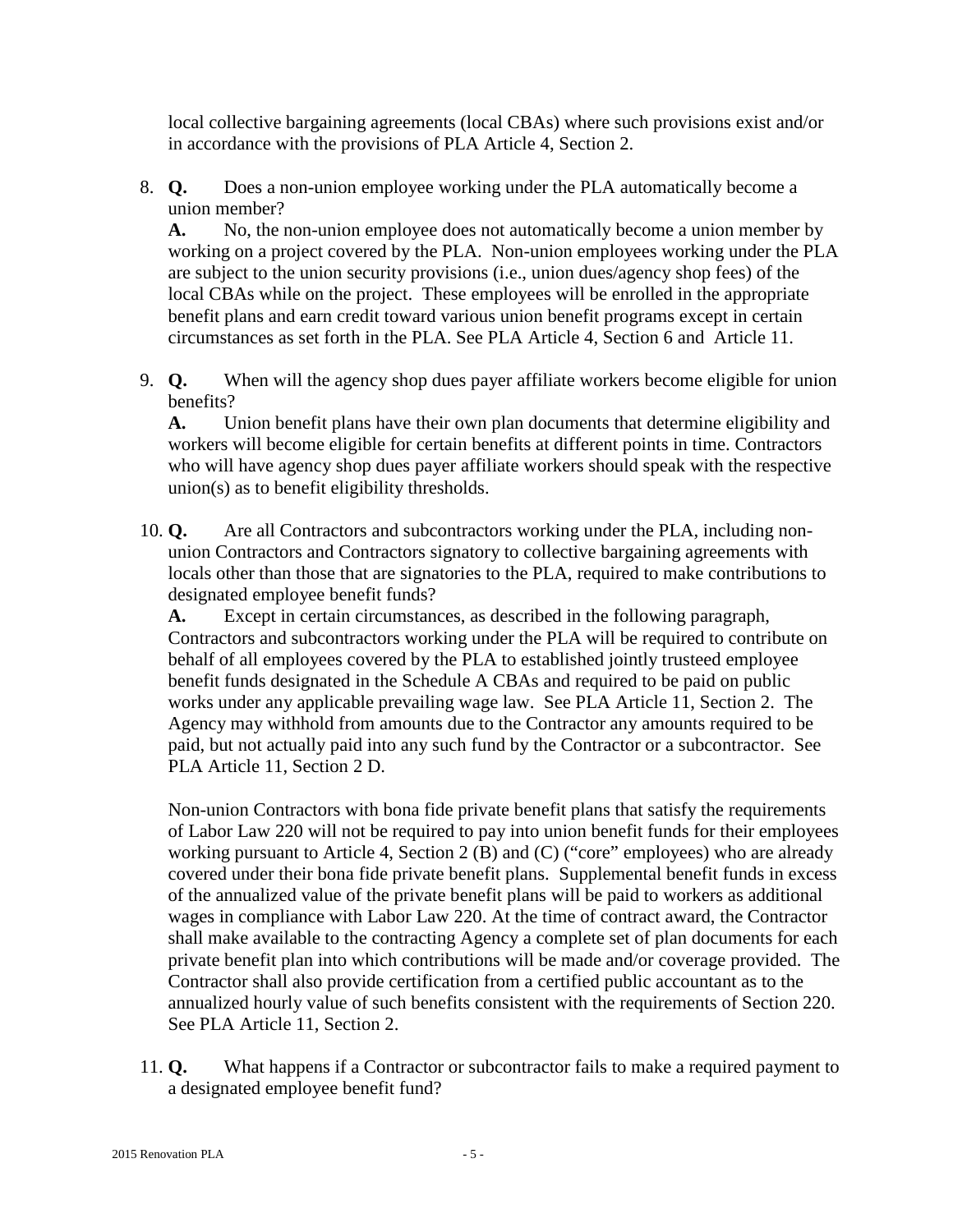local collective bargaining agreements (local CBAs) where such provisions exist and/or in accordance with the provisions of PLA Article 4, Section 2.

8. **Q.** Does a non-union employee working under the PLA automatically become a union member?

**A.** No, the non-union employee does not automatically become a union member by working on a project covered by the PLA. Non-union employees working under the PLA are subject to the union security provisions (i.e., union dues/agency shop fees) of the local CBAs while on the project. These employees will be enrolled in the appropriate benefit plans and earn credit toward various union benefit programs except in certain circumstances as set forth in the PLA. See PLA Article 4, Section 6 and Article 11.

9. **Q.** When will the agency shop dues payer affiliate workers become eligible for union benefits?

**A.** Union benefit plans have their own plan documents that determine eligibility and workers will become eligible for certain benefits at different points in time. Contractors who will have agency shop dues payer affiliate workers should speak with the respective union(s) as to benefit eligibility thresholds.

10. **Q.** Are all Contractors and subcontractors working under the PLA, including nonunion Contractors and Contractors signatory to collective bargaining agreements with locals other than those that are signatories to the PLA, required to make contributions to designated employee benefit funds?

**A.** Except in certain circumstances, as described in the following paragraph, Contractors and subcontractors working under the PLA will be required to contribute on behalf of all employees covered by the PLA to established jointly trusteed employee benefit funds designated in the Schedule A CBAs and required to be paid on public works under any applicable prevailing wage law. See PLA Article 11, Section 2. The Agency may withhold from amounts due to the Contractor any amounts required to be paid, but not actually paid into any such fund by the Contractor or a subcontractor. See PLA Article 11, Section 2 D.

Non-union Contractors with bona fide private benefit plans that satisfy the requirements of Labor Law 220 will not be required to pay into union benefit funds for their employees working pursuant to Article 4, Section 2 (B) and (C) ("core" employees) who are already covered under their bona fide private benefit plans. Supplemental benefit funds in excess of the annualized value of the private benefit plans will be paid to workers as additional wages in compliance with Labor Law 220. At the time of contract award, the Contractor shall make available to the contracting Agency a complete set of plan documents for each private benefit plan into which contributions will be made and/or coverage provided. The Contractor shall also provide certification from a certified public accountant as to the annualized hourly value of such benefits consistent with the requirements of Section 220. See PLA Article 11, Section 2.

11. **Q.** What happens if a Contractor or subcontractor fails to make a required payment to a designated employee benefit fund?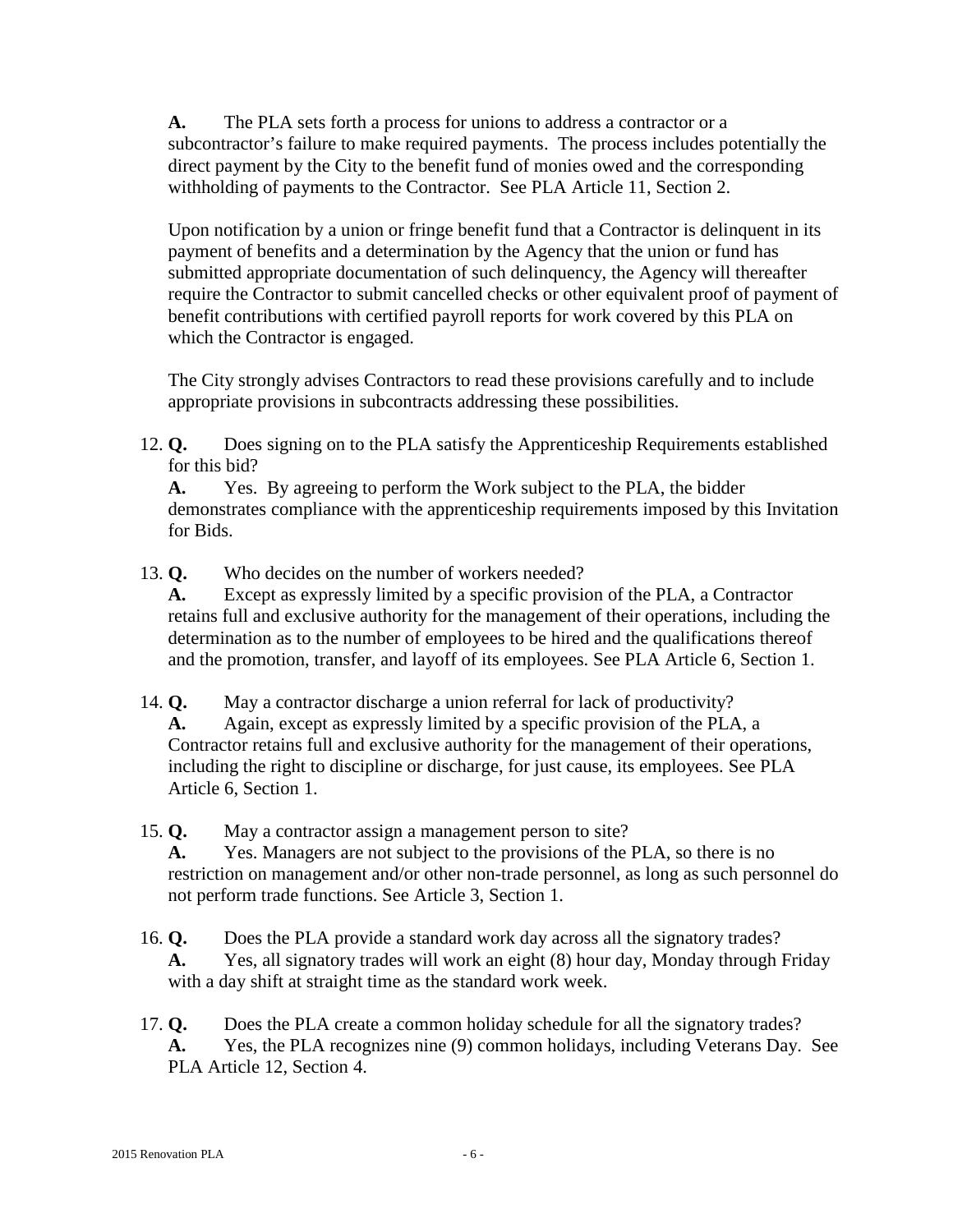**A.** The PLA sets forth a process for unions to address a contractor or a subcontractor's failure to make required payments. The process includes potentially the direct payment by the City to the benefit fund of monies owed and the corresponding withholding of payments to the Contractor. See PLA Article 11, Section 2.

Upon notification by a union or fringe benefit fund that a Contractor is delinquent in its payment of benefits and a determination by the Agency that the union or fund has submitted appropriate documentation of such delinquency, the Agency will thereafter require the Contractor to submit cancelled checks or other equivalent proof of payment of benefit contributions with certified payroll reports for work covered by this PLA on which the Contractor is engaged.

The City strongly advises Contractors to read these provisions carefully and to include appropriate provisions in subcontracts addressing these possibilities.

12. **Q.** Does signing on to the PLA satisfy the Apprenticeship Requirements established for this bid?

**A.** Yes. By agreeing to perform the Work subject to the PLA, the bidder demonstrates compliance with the apprenticeship requirements imposed by this Invitation for Bids.

13. **Q.** Who decides on the number of workers needed?

**A.** Except as expressly limited by a specific provision of the PLA, a Contractor retains full and exclusive authority for the management of their operations, including the determination as to the number of employees to be hired and the qualifications thereof and the promotion, transfer, and layoff of its employees. See PLA Article 6, Section 1.

14. **Q.** May a contractor discharge a union referral for lack of productivity? **A.** Again, except as expressly limited by a specific provision of the PLA, a Contractor retains full and exclusive authority for the management of their operations, including the right to discipline or discharge, for just cause, its employees. See PLA Article 6, Section 1.

15. **Q.** May a contractor assign a management person to site?

**A.** Yes. Managers are not subject to the provisions of the PLA, so there is no restriction on management and/or other non-trade personnel, as long as such personnel do not perform trade functions. See Article 3, Section 1.

- 16. **Q.** Does the PLA provide a standard work day across all the signatory trades? **A.** Yes, all signatory trades will work an eight (8) hour day, Monday through Friday with a day shift at straight time as the standard work week.
- 17. **Q.** Does the PLA create a common holiday schedule for all the signatory trades? **A.** Yes, the PLA recognizes nine (9) common holidays, including Veterans Day. See PLA Article 12, Section 4.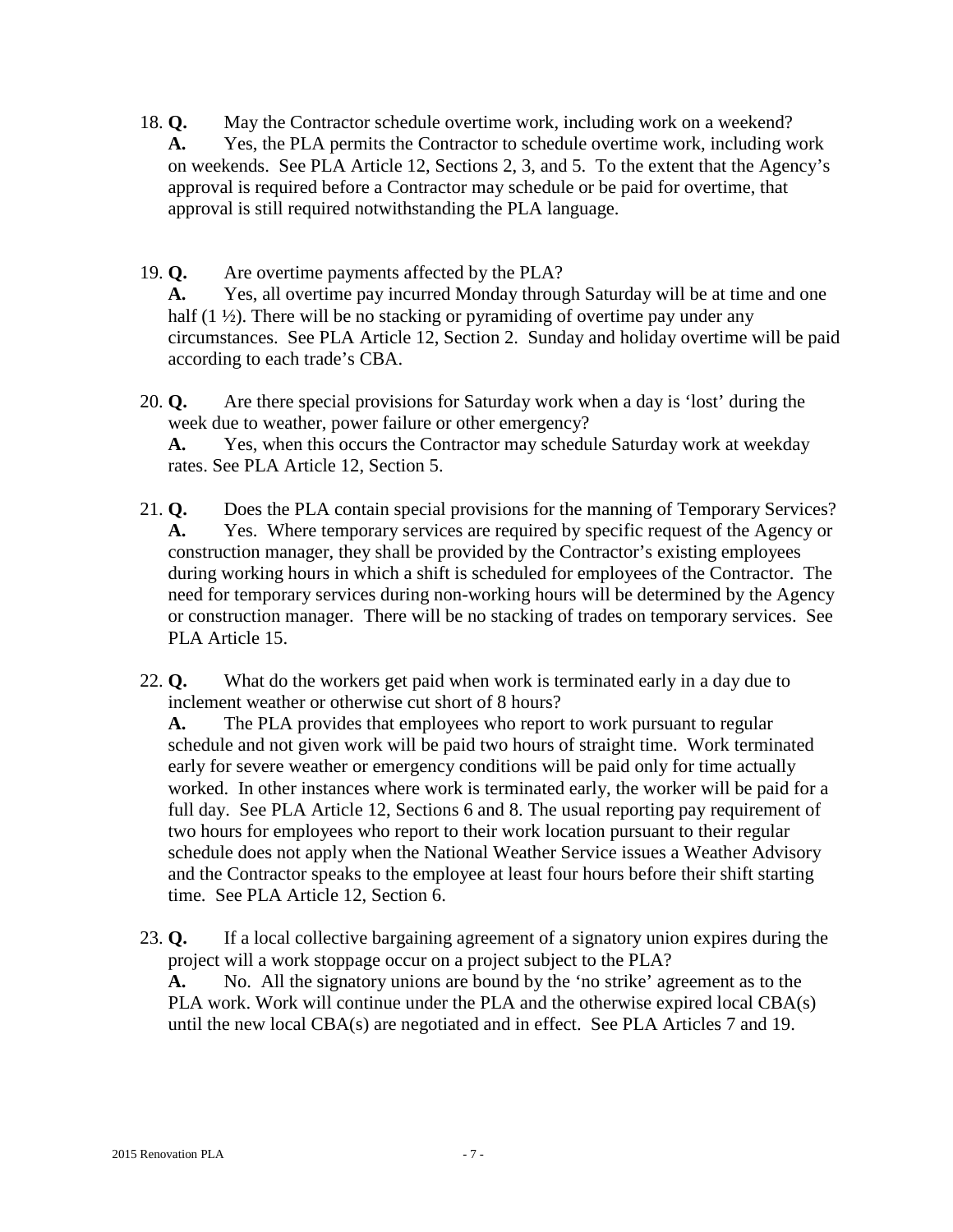- 18. **Q.** May the Contractor schedule overtime work, including work on a weekend? **A.** Yes, the PLA permits the Contractor to schedule overtime work, including work on weekends. See PLA Article 12, Sections 2, 3, and 5. To the extent that the Agency's approval is required before a Contractor may schedule or be paid for overtime, that approval is still required notwithstanding the PLA language.
- 19. **Q.** Are overtime payments affected by the PLA?

**A.** Yes, all overtime pay incurred Monday through Saturday will be at time and one half (1 ½). There will be no stacking or pyramiding of overtime pay under any circumstances. See PLA Article 12, Section 2. Sunday and holiday overtime will be paid according to each trade's CBA.

20. **Q.** Are there special provisions for Saturday work when a day is 'lost' during the week due to weather, power failure or other emergency?

**A.** Yes, when this occurs the Contractor may schedule Saturday work at weekday rates. See PLA Article 12, Section 5.

- 21. **Q.** Does the PLA contain special provisions for the manning of Temporary Services? **A.** Yes. Where temporary services are required by specific request of the Agency or construction manager, they shall be provided by the Contractor's existing employees during working hours in which a shift is scheduled for employees of the Contractor. The need for temporary services during non-working hours will be determined by the Agency or construction manager. There will be no stacking of trades on temporary services. See PLA Article 15.
- 22. **Q.** What do the workers get paid when work is terminated early in a day due to inclement weather or otherwise cut short of 8 hours?

**A.** The PLA provides that employees who report to work pursuant to regular schedule and not given work will be paid two hours of straight time. Work terminated early for severe weather or emergency conditions will be paid only for time actually worked. In other instances where work is terminated early, the worker will be paid for a full day. See PLA Article 12, Sections 6 and 8. The usual reporting pay requirement of two hours for employees who report to their work location pursuant to their regular schedule does not apply when the National Weather Service issues a Weather Advisory and the Contractor speaks to the employee at least four hours before their shift starting time. See PLA Article 12, Section 6.

23. **Q.** If a local collective bargaining agreement of a signatory union expires during the project will a work stoppage occur on a project subject to the PLA?

**A.** No. All the signatory unions are bound by the 'no strike' agreement as to the PLA work. Work will continue under the PLA and the otherwise expired local CBA(s) until the new local CBA(s) are negotiated and in effect. See PLA Articles 7 and 19.